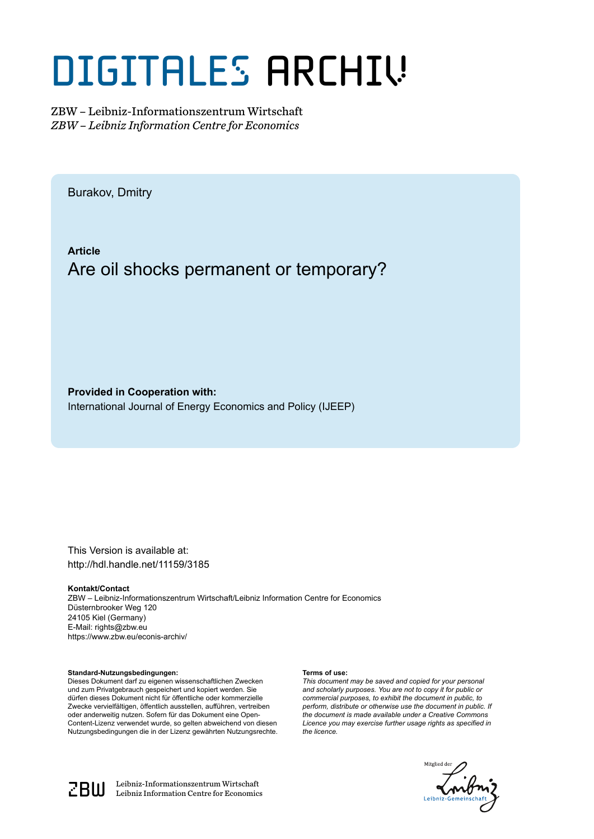# DIGITALES ARCHIV

ZBW – Leibniz-Informationszentrum Wirtschaft *ZBW – Leibniz Information Centre for Economics*

Burakov, Dmitry

**Article** Are oil shocks permanent or temporary?

**Provided in Cooperation with:** International Journal of Energy Economics and Policy (IJEEP)

This Version is available at: http://hdl.handle.net/11159/3185

#### **Kontakt/Contact**

ZBW – Leibniz-Informationszentrum Wirtschaft/Leibniz Information Centre for Economics Düsternbrooker Weg 120 24105 Kiel (Germany) E-Mail: rights@zbw.eu https://www.zbw.eu/econis-archiv/

#### **Standard-Nutzungsbedingungen:**

Dieses Dokument darf zu eigenen wissenschaftlichen Zwecken und zum Privatgebrauch gespeichert und kopiert werden. Sie dürfen dieses Dokument nicht für öffentliche oder kommerzielle Zwecke vervielfältigen, öffentlich ausstellen, aufführen, vertreiben oder anderweitig nutzen. Sofern für das Dokument eine Open-Content-Lizenz verwendet wurde, so gelten abweichend von diesen Nutzungsbedingungen die in der Lizenz gewährten Nutzungsrechte.

#### **Terms of use:**

*This document may be saved and copied for your personal and scholarly purposes. You are not to copy it for public or commercial purposes, to exhibit the document in public, to perform, distribute or otherwise use the document in public. If the document is made available under a Creative Commons Licence you may exercise further usage rights as specified in the licence.*





 $\mathbb{Z} \text{B} \text{U}$  Leibniz-Informationszentrum Wirtschaft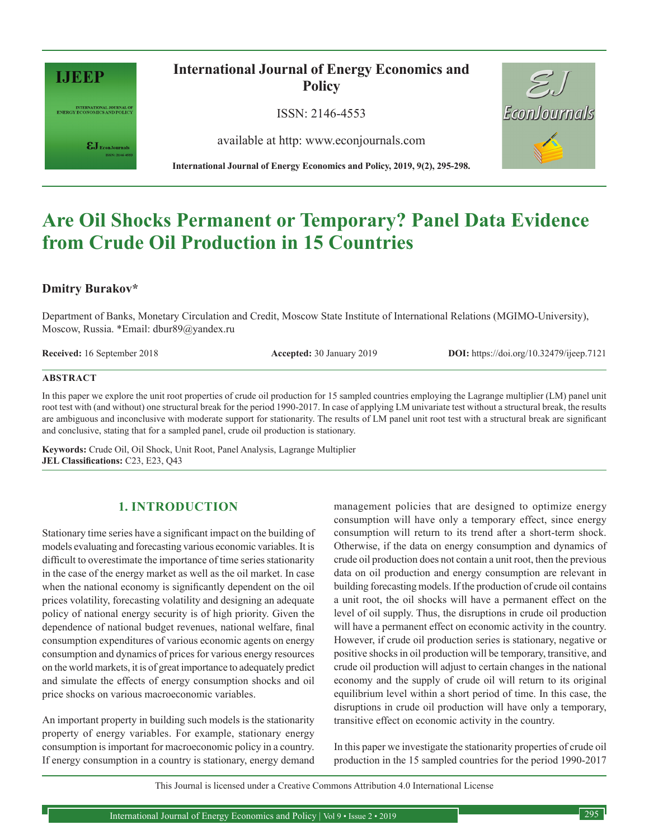

INTERNATIONAL JOURNAL OF<br>ENERGY ECONOMICS AND POLICY

 $\pmb{\varepsilon} \mathbf{J}_{\text{\tiny{EconJournals}}}$ 

**International Journal of Energy Economics and Policy**

ISSN: 2146-4553

available at http: www.econjournals.com

**International Journal of Energy Economics and Policy, 2019, 9(2), 295-298.**



# **Are Oil Shocks Permanent or Temporary? Panel Data Evidence from Crude Oil Production in 15 Countries**

# **Dmitry Burakov\***

Department of Banks, Monetary Circulation and Credit, Moscow State Institute of International Relations (MGIMO-University), Moscow, Russia. \*Email: dbur89@yandex.ru

**Received:** 16 September 2018 **Accepted:** 30 January 2019 **DOI:** https://doi.org/10.32479/ijeep.7121

#### **ABSTRACT**

In this paper we explore the unit root properties of crude oil production for 15 sampled countries employing the Lagrange multiplier (LM) panel unit root test with (and without) one structural break for the period 1990-2017. In case of applying LM univariate test without a structural break, the results are ambiguous and inconclusive with moderate support for stationarity. The results of LM panel unit root test with a structural break are significant and conclusive, stating that for a sampled panel, crude oil production is stationary.

**Keywords:** Crude Oil, Oil Shock, Unit Root, Panel Analysis, Lagrange Multiplier **JEL Classifications:** C23, E23, Q43

# **1. INTRODUCTION**

Stationary time series have a significant impact on the building of models evaluating and forecasting various economic variables. It is difficult to overestimate the importance of time series stationarity in the case of the energy market as well as the oil market. In case when the national economy is significantly dependent on the oil prices volatility, forecasting volatility and designing an adequate policy of national energy security is of high priority. Given the dependence of national budget revenues, national welfare, final consumption expenditures of various economic agents on energy consumption and dynamics of prices for various energy resources on the world markets, it is of great importance to adequately predict and simulate the effects of energy consumption shocks and oil price shocks on various macroeconomic variables.

An important property in building such models is the stationarity property of energy variables. For example, stationary energy consumption is important for macroeconomic policy in a country. If energy consumption in a country is stationary, energy demand management policies that are designed to optimize energy consumption will have only a temporary effect, since energy consumption will return to its trend after a short-term shock. Otherwise, if the data on energy consumption and dynamics of crude oil production does not contain a unit root, then the previous data on oil production and energy consumption are relevant in building forecasting models. If the production of crude oil contains a unit root, the oil shocks will have a permanent effect on the level of oil supply. Thus, the disruptions in crude oil production will have a permanent effect on economic activity in the country. However, if crude oil production series is stationary, negative or positive shocks in oil production will be temporary, transitive, and crude oil production will adjust to certain changes in the national economy and the supply of crude oil will return to its original equilibrium level within a short period of time. In this case, the disruptions in crude oil production will have only a temporary, transitive effect on economic activity in the country.

In this paper we investigate the stationarity properties of crude oil production in the 15 sampled countries for the period 1990-2017

This Journal is licensed under a Creative Commons Attribution 4.0 International License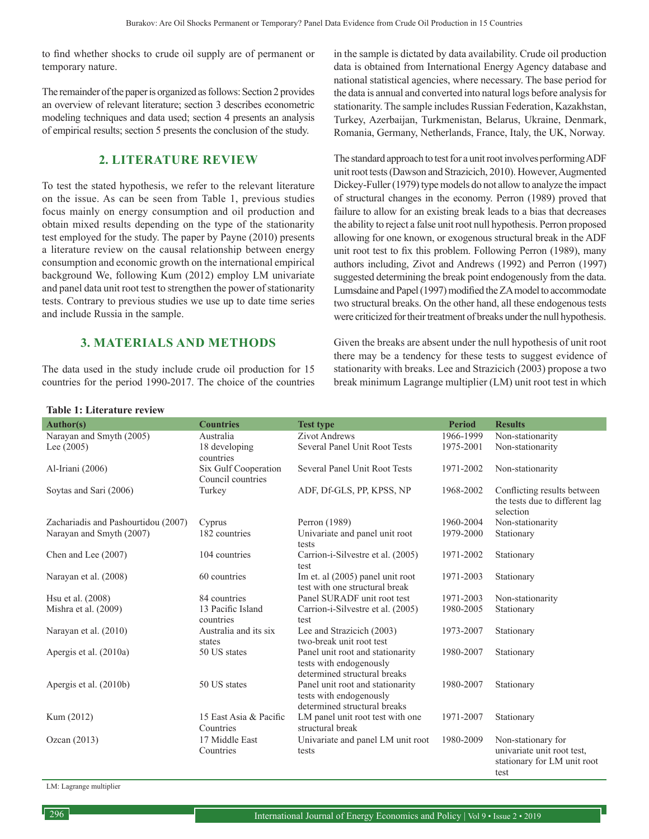to find whether shocks to crude oil supply are of permanent or temporary nature.

The remainder of the paper is organized as follows: Section 2 provides an overview of relevant literature; section 3 describes econometric modeling techniques and data used; section 4 presents an analysis of empirical results; section 5 presents the conclusion of the study.

# **2. LITERATURE REVIEW**

To test the stated hypothesis, we refer to the relevant literature on the issue. As can be seen from Table 1, previous studies focus mainly on energy consumption and oil production and obtain mixed results depending on the type of the stationarity test employed for the study. The paper by Payne (2010) presents a literature review on the causal relationship between energy consumption and economic growth on the international empirical background We, following Kum (2012) employ LM univariate and panel data unit root test to strengthen the power of stationarity tests. Contrary to previous studies we use up to date time series and include Russia in the sample.

## **3. MATERIALS AND METHODS**

The data used in the study include crude oil production for 15 countries for the period 1990-2017. The choice of the countries in the sample is dictated by data availability. Crude oil production data is obtained from International Energy Agency database and national statistical agencies, where necessary. The base period for the data is annual and converted into natural logs before analysis for stationarity. The sample includes Russian Federation, Kazakhstan, Turkey, Azerbaijan, Turkmenistan, Belarus, Ukraine, Denmark, Romania, Germany, Netherlands, France, Italy, the UK, Norway.

The standard approach to test for a unit root involves performing ADF unit root tests (Dawson and Strazicich, 2010). However, Augmented Dickey-Fuller (1979) type models do not allow to analyze the impact of structural changes in the economy. Perron (1989) proved that failure to allow for an existing break leads to a bias that decreases the ability to reject a false unit root null hypothesis. Perron proposed allowing for one known, or exogenous structural break in the ADF unit root test to fix this problem. Following Perron (1989), many authors including, Zivot and Andrews (1992) and Perron (1997) suggested determining the break point endogenously from the data. Lumsdaine and Papel (1997) modified the ZA model to accommodate two structural breaks. On the other hand, all these endogenous tests were criticized for their treatment of breaks under the null hypothesis.

Given the breaks are absent under the null hypothesis of unit root there may be a tendency for these tests to suggest evidence of stationarity with breaks. Lee and Strazicich (2003) propose a two break minimum Lagrange multiplier (LM) unit root test in which

#### **Table 1: Literature review**

| <b>Author(s)</b>                    | <b>Countries</b>                          | <b>Test type</b>                                                                            | <b>Period</b> | <b>Results</b>                                                                          |
|-------------------------------------|-------------------------------------------|---------------------------------------------------------------------------------------------|---------------|-----------------------------------------------------------------------------------------|
| Narayan and Smyth (2005)            | Australia                                 | <b>Zivot Andrews</b>                                                                        | 1966-1999     | Non-stationarity                                                                        |
| Lee $(2005)$                        | 18 developing<br>countries                | Several Panel Unit Root Tests                                                               | 1975-2001     | Non-stationarity                                                                        |
| Al-Iriani (2006)                    | Six Gulf Cooperation<br>Council countries | Several Panel Unit Root Tests                                                               | 1971-2002     | Non-stationarity                                                                        |
| Soytas and Sari (2006)              | Turkey                                    | ADF, Df-GLS, PP, KPSS, NP                                                                   | 1968-2002     | Conflicting results between<br>the tests due to different lag<br>selection              |
| Zachariadis and Pashourtidou (2007) | Cyprus                                    | Perron (1989)                                                                               | 1960-2004     | Non-stationarity                                                                        |
| Narayan and Smyth (2007)            | 182 countries                             | Univariate and panel unit root<br>tests                                                     | 1979-2000     | Stationary                                                                              |
| Chen and Lee (2007)                 | 104 countries                             | Carrion-i-Silvestre et al. (2005)<br>test                                                   | 1971-2002     | Stationary                                                                              |
| Narayan et al. (2008)               | 60 countries                              | Im et. al (2005) panel unit root<br>test with one structural break                          | 1971-2003     | Stationary                                                                              |
| Hsu et al. (2008)                   | 84 countries                              | Panel SURADF unit root test                                                                 | 1971-2003     | Non-stationarity                                                                        |
| Mishra et al. $(2009)$              | 13 Pacific Island<br>countries            | Carrion-i-Silvestre et al. (2005)<br>test                                                   | 1980-2005     | Stationary                                                                              |
| Narayan et al. (2010)               | Australia and its six<br>states           | Lee and Strazicich (2003)<br>two-break unit root test                                       | 1973-2007     | Stationary                                                                              |
| Apergis et al. (2010a)              | 50 US states                              | Panel unit root and stationarity<br>tests with endogenously<br>determined structural breaks | 1980-2007     | Stationary                                                                              |
| Apergis et al. (2010b)              | 50 US states                              | Panel unit root and stationarity<br>tests with endogenously<br>determined structural breaks | 1980-2007     | Stationary                                                                              |
| Kum (2012)                          | 15 East Asia & Pacific<br>Countries       | LM panel unit root test with one<br>structural break                                        | 1971-2007     | Stationary                                                                              |
| Ozcan $(2013)$                      | 17 Middle East<br>Countries               | Univariate and panel LM unit root<br>tests                                                  | 1980-2009     | Non-stationary for<br>univariate unit root test.<br>stationary for LM unit root<br>test |

LM: Lagrange multiplier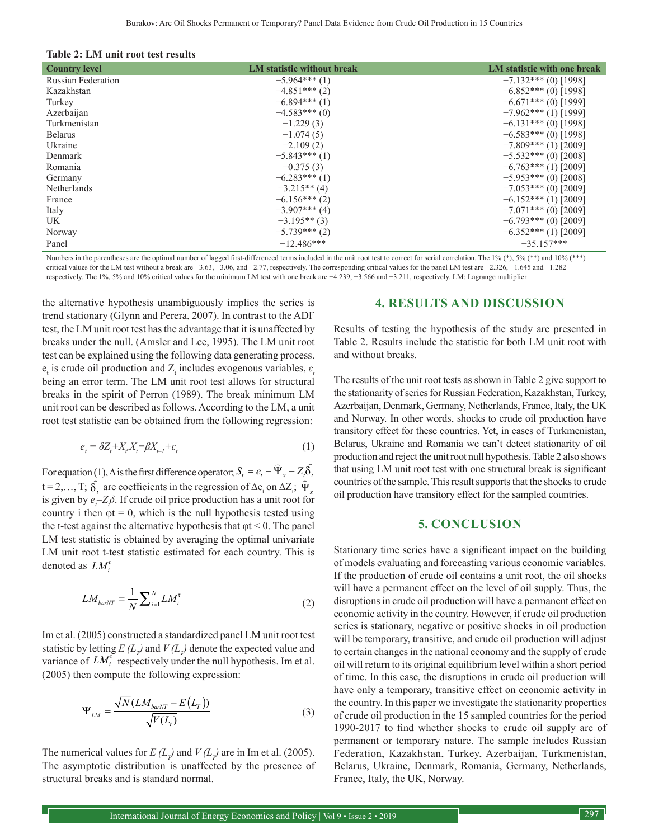| Table 2: LM unit root test results |
|------------------------------------|
|------------------------------------|

| <b>Country level</b>      | LM statistic without break | LM statistic with one break |
|---------------------------|----------------------------|-----------------------------|
| <b>Russian Federation</b> | $-5.964***(1)$             | $-7.132***$ (0) [1998]      |
| Kazakhstan                | $-4.851***(2)$             | $-6.852***(0)$ [1998]       |
| Turkey                    | $-6.894***(1)$             | $-6.671***$ (0) [1999]      |
| Azerbaijan                | $-4.583***(0)$             | $-7.962***(1)$ [1999]       |
| Turkmenistan              | $-1.229(3)$                | $-6.131***$ (0) [1998]      |
| <b>Belarus</b>            | $-1.074(5)$                | $-6.583***(0)$ [1998]       |
| Ukraine                   | $-2.109(2)$                | $-7.809***(1)$ [2009]       |
| Denmark                   | $-5.843***(1)$             | $-5.532***(0)$ [2008]       |
| Romania                   | $-0.375(3)$                | $-6.763***$ (1) [2009]      |
| Germany                   | $-6.283***(1)$             | $-5.953***$ (0) [2008]      |
| Netherlands               | $-3.215**$ (4)             | $-7.053***$ (0) [2009]      |
| France                    | $-6.156***(2)$             | $-6.152***(1)$ [2009]       |
| Italy                     | $-3.907***$ (4)            | $-7.071***$ (0) [2009]      |
| UK                        | $-3.195**$ (3)             | $-6.793***(0)$ [2009]       |
| Norway                    | $-5.739***(2)$             | $-6.352***(1)$ [2009]       |
| Panel                     | $-12.486***$               | $-35.157***$                |

Numbers in the parentheses are the optimal number of lagged first-differenced terms included in the unit root test to correct for serial correlation. The 1% (\*), 5% (\*\*) and 10% (\*\*\*) critical values for the LM test without a break are −3.63, −3.06, and −2.77, respectively. The corresponding critical values for the panel LM test are −2.326, −1.645 and −1.282 respectively. The 1%, 5% and 10% critical values for the minimum LM test with one break are −4.239, −3.566 and −3.211, respectively. LM: Lagrange multiplier

the alternative hypothesis unambiguously implies the series is trend stationary (Glynn and Perera, 2007). In contrast to the ADF test, the LM unit root test has the advantage that it is unaffected by breaks under the null. (Amsler and Lee, 1995). The LM unit root test can be explained using the following data generating process.  $e_t$  is crude oil production and  $Z_t$  includes exogenous variables,  $\varepsilon_t$ being an error term. The LM unit root test allows for structural breaks in the spirit of Perron (1989). The break minimum LM unit root can be described as follows. According to the LM, a unit root test statistic can be obtained from the following regression:

$$
e_t = \delta Z_t + X_{t} X_t = \beta X_{t-1} + \varepsilon_t \tag{1}
$$

For equation (1),  $\Delta$  is the first difference operator;  $\overline{S_t} = e_t - \hat{\Psi}_x - Z_t \overline{\delta}_t$ t = 2,..., T;  $\delta_t$  are coefficients in the regression of Δe<sub>t</sub> on ΔZ<sub>i</sub>;  $\hat{\Psi}_x$ is given by  $e_t Z_t \delta$ . If crude oil price production has a unit root for country i then  $\varphi t = 0$ , which is the null hypothesis tested using the t-test against the alternative hypothesis that  $\varphi t < 0$ . The panel LM test statistic is obtained by averaging the optimal univariate LM unit root t-test statistic estimated for each country. This is denoted as *LM<sup>τ</sup>* 

$$
LM_{barNT} = \frac{1}{N} \sum_{i=1}^{N} LM_i^{\tau}
$$
 (2)

Im et al. (2005) constructed a standardized panel LM unit root test statistic by letting  $E(L_p)$  and  $V(L_p)$  denote the expected value and variance of  $LM_i^t$  respectively under the null hypothesis. Im et al. (2005) then compute the following expression:

$$
\Psi_{LM} = \frac{\sqrt{N}(LM_{baryT} - E(L_T))}{\sqrt{V(L_t)}}\tag{3}
$$

The numerical values for  $E(L_p)$  and  $V(L_p)$  are in Im et al. (2005). The asymptotic distribution is unaffected by the presence of structural breaks and is standard normal.

#### **4. RESULTS AND DISCUSSION**

Results of testing the hypothesis of the study are presented in Table 2. Results include the statistic for both LM unit root with and without breaks.

The results of the unit root tests as shown in Table 2 give support to the stationarity of series for Russian Federation, Kazakhstan, Turkey, Azerbaijan, Denmark, Germany, Netherlands, France, Italy, the UK and Norway. In other words, shocks to crude oil production have transitory effect for these countries. Yet, in cases of Turkmenistan, Belarus, Ukraine and Romania we can't detect stationarity of oil production and reject the unit root null hypothesis. Table 2 also shows that using LM unit root test with one structural break is significant countries of the sample. This result supports that the shocks to crude oil production have transitory effect for the sampled countries.

#### **5. CONCLUSION**

Stationary time series have a significant impact on the building of models evaluating and forecasting various economic variables. If the production of crude oil contains a unit root, the oil shocks will have a permanent effect on the level of oil supply. Thus, the disruptions in crude oil production will have a permanent effect on economic activity in the country. However, if crude oil production series is stationary, negative or positive shocks in oil production will be temporary, transitive, and crude oil production will adjust to certain changes in the national economy and the supply of crude oil will return to its original equilibrium level within a short period of time. In this case, the disruptions in crude oil production will have only a temporary, transitive effect on economic activity in the country. In this paper we investigate the stationarity properties of crude oil production in the 15 sampled countries for the period 1990-2017 to find whether shocks to crude oil supply are of permanent or temporary nature. The sample includes Russian Federation, Kazakhstan, Turkey, Azerbaijan, Turkmenistan, Belarus, Ukraine, Denmark, Romania, Germany, Netherlands, France, Italy, the UK, Norway.